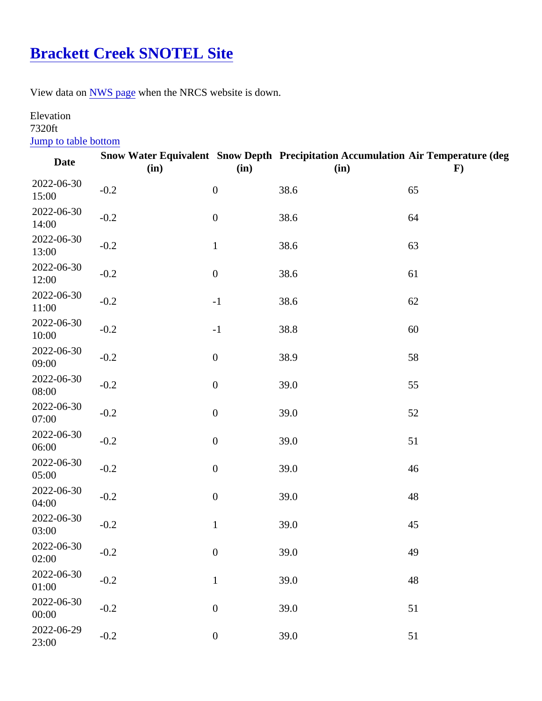## [Brackett Creek SNOTEL Site](https://www.mtavalanche.com/weather/stations/brackett-creek-snotel-site)

View data o[n NWS page](http://www.wrh.noaa.gov/mesowest/getobext.php?wfo=mso&sid=BRCM8&num=168&raw=0&dbn=m)when the NRCS website is down.

## Elevation

7320ft Jump to table bottom

| Date                | (in)   | (in)             | Snow Water Equivalent Snow Depth Precipitation Accumulation Air Temperature (deg<br>(in) | F) |
|---------------------|--------|------------------|------------------------------------------------------------------------------------------|----|
| 2022-06-30<br>15:00 | $-0.2$ | $\mathbf 0$      | 38.6                                                                                     | 65 |
| 2022-06-30<br>14:00 | $-0.2$ | $\pmb{0}$        | 38.6                                                                                     | 64 |
| 2022-06-30<br>13:00 | $-0.2$ | 1                | 38.6                                                                                     | 63 |
| 2022-06-30<br>12:00 | $-0.2$ | $\boldsymbol{0}$ | 38.6                                                                                     | 61 |
| 2022-06-30<br>11:00 | $-0.2$ | $-1$             | 38.6                                                                                     | 62 |
| 2022-06-30<br>10:00 | $-0.2$ | $-1$             | 38.8                                                                                     | 60 |
| 2022-06-30<br>09:00 | $-0.2$ | $\pmb{0}$        | 38.9                                                                                     | 58 |
| 2022-06-30<br>08:00 | $-0.2$ | $\mathbf 0$      | 39.0                                                                                     | 55 |
| 2022-06-30<br>07:00 | $-0.2$ | $\mathbf 0$      | 39.0                                                                                     | 52 |
| 2022-06-30<br>06:00 | $-0.2$ | $\pmb{0}$        | 39.0                                                                                     | 51 |
| 2022-06-30<br>05:00 | $-0.2$ | $\boldsymbol{0}$ | 39.0                                                                                     | 46 |
| 2022-06-30<br>04:00 | $-0.2$ | $\boldsymbol{0}$ | 39.0                                                                                     | 48 |
| 2022-06-30<br>03:00 | $-0.2$ | 1                | 39.0                                                                                     | 45 |
| 2022-06-30<br>02:00 | $-0.2$ | $\boldsymbol{0}$ | 39.0                                                                                     | 49 |
| 2022-06-30<br>01:00 | $-0.2$ | 1                | 39.0                                                                                     | 48 |
| 2022-06-30<br>00:00 | $-0.2$ | $\pmb{0}$        | 39.0                                                                                     | 51 |
| 2022-06-29<br>23:00 | $-0.2$ | $\mathbf 0$      | 39.0                                                                                     | 51 |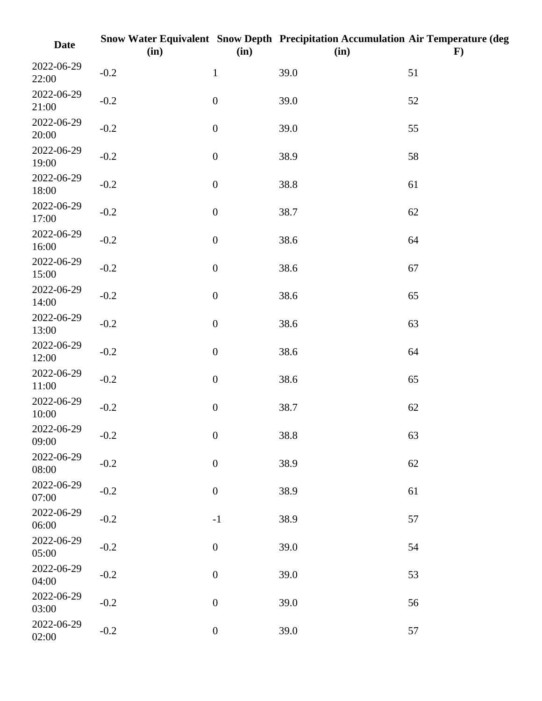| <b>Date</b>         | (in)   | (in)             | Snow Water Equivalent Snow Depth Precipitation Accumulation Air Temperature (deg<br>(in) | $\bf{F})$ |
|---------------------|--------|------------------|------------------------------------------------------------------------------------------|-----------|
| 2022-06-29<br>22:00 | $-0.2$ | $\mathbf{1}$     | 39.0                                                                                     | 51        |
| 2022-06-29<br>21:00 | $-0.2$ | $\boldsymbol{0}$ | 39.0                                                                                     | 52        |
| 2022-06-29<br>20:00 | $-0.2$ | $\boldsymbol{0}$ | 39.0                                                                                     | 55        |
| 2022-06-29<br>19:00 | $-0.2$ | $\boldsymbol{0}$ | 38.9                                                                                     | 58        |
| 2022-06-29<br>18:00 | $-0.2$ | $\boldsymbol{0}$ | 38.8                                                                                     | 61        |
| 2022-06-29<br>17:00 | $-0.2$ | $\boldsymbol{0}$ | 38.7                                                                                     | 62        |
| 2022-06-29<br>16:00 | $-0.2$ | $\boldsymbol{0}$ | 38.6                                                                                     | 64        |
| 2022-06-29<br>15:00 | $-0.2$ | $\boldsymbol{0}$ | 38.6                                                                                     | 67        |
| 2022-06-29<br>14:00 | $-0.2$ | $\boldsymbol{0}$ | 38.6                                                                                     | 65        |
| 2022-06-29<br>13:00 | $-0.2$ | $\boldsymbol{0}$ | 38.6                                                                                     | 63        |
| 2022-06-29<br>12:00 | $-0.2$ | $\boldsymbol{0}$ | 38.6                                                                                     | 64        |
| 2022-06-29<br>11:00 | $-0.2$ | $\boldsymbol{0}$ | 38.6                                                                                     | 65        |
| 2022-06-29<br>10:00 | $-0.2$ | $\boldsymbol{0}$ | 38.7                                                                                     | 62        |
| 2022-06-29<br>09:00 | $-0.2$ | $\boldsymbol{0}$ | 38.8                                                                                     | 63        |
| 2022-06-29<br>08:00 | $-0.2$ | $\boldsymbol{0}$ | 38.9                                                                                     | 62        |
| 2022-06-29<br>07:00 | $-0.2$ | $\boldsymbol{0}$ | 38.9                                                                                     | 61        |
| 2022-06-29<br>06:00 | $-0.2$ | $^{\rm -1}$      | 38.9                                                                                     | 57        |
| 2022-06-29<br>05:00 | $-0.2$ | $\boldsymbol{0}$ | 39.0                                                                                     | 54        |
| 2022-06-29<br>04:00 | $-0.2$ | $\boldsymbol{0}$ | 39.0                                                                                     | 53        |
| 2022-06-29<br>03:00 | $-0.2$ | $\boldsymbol{0}$ | 39.0                                                                                     | 56        |
| 2022-06-29<br>02:00 | $-0.2$ | $\boldsymbol{0}$ | 39.0                                                                                     | 57        |